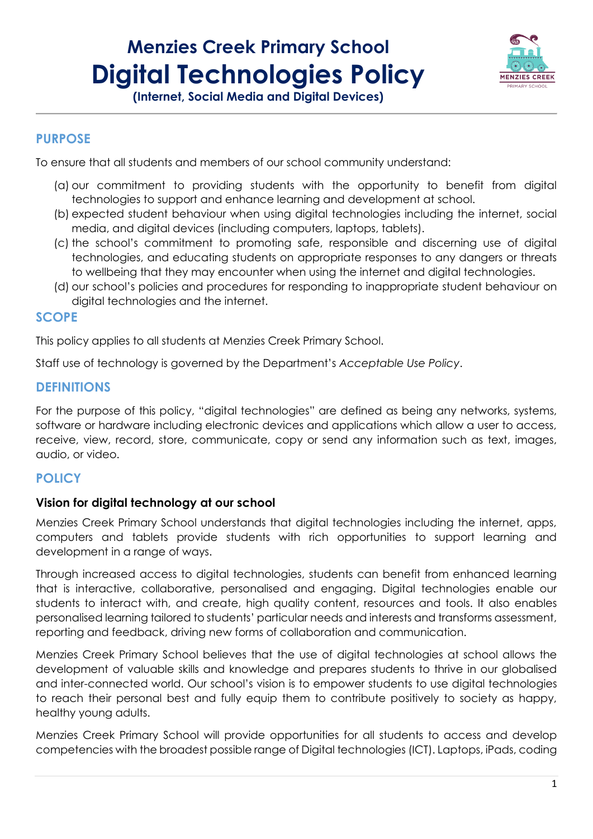# **Menzies Creek Primary School Digital Technologies Policy**



**(Internet, Social Media and Digital Devices)**

#### **PURPOSE**

To ensure that all students and members of our school community understand:

- (a) our commitment to providing students with the opportunity to benefit from digital technologies to support and enhance learning and development at school.
- (b) expected student behaviour when using digital technologies including the internet, social media, and digital devices (including computers, laptops, tablets).
- (c) the school's commitment to promoting safe, responsible and discerning use of digital technologies, and educating students on appropriate responses to any dangers or threats to wellbeing that they may encounter when using the internet and digital technologies.
- (d) our school's policies and procedures for responding to inappropriate student behaviour on digital technologies and the internet.

# **SCOPE**

This policy applies to all students at Menzies Creek Primary School.

Staff use of technology is governed by the Department's *Acceptable Use Policy*.

#### **DEFINITIONS**

For the purpose of this policy, "digital technologies" are defined as being any networks, systems, software or hardware including electronic devices and applications which allow a user to access, receive, view, record, store, communicate, copy or send any information such as text, images, audio, or video.

# **POLICY**

#### **Vision for digital technology at our school**

Menzies Creek Primary School understands that digital technologies including the internet, apps, computers and tablets provide students with rich opportunities to support learning and development in a range of ways.

Through increased access to digital technologies, students can benefit from enhanced learning that is interactive, collaborative, personalised and engaging. Digital technologies enable our students to interact with, and create, high quality content, resources and tools. It also enables personalised learning tailored to students' particular needs and interests and transforms assessment, reporting and feedback, driving new forms of collaboration and communication.

Menzies Creek Primary School believes that the use of digital technologies at school allows the development of valuable skills and knowledge and prepares students to thrive in our globalised and inter-connected world. Our school's vision is to empower students to use digital technologies to reach their personal best and fully equip them to contribute positively to society as happy, healthy young adults.

Menzies Creek Primary School will provide opportunities for all students to access and develop competencies with the broadest possible range of Digital technologies (ICT). Laptops, iPads, coding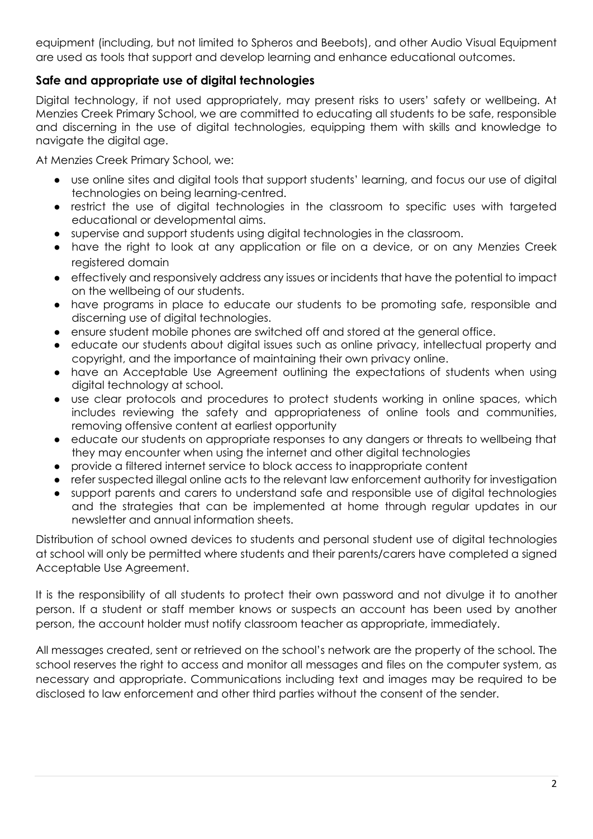equipment (including, but not limited to Spheros and Beebots), and other Audio Visual Equipment are used as tools that support and develop learning and enhance educational outcomes.

# **Safe and appropriate use of digital technologies**

Digital technology, if not used appropriately, may present risks to users' safety or wellbeing. At Menzies Creek Primary School, we are committed to educating all students to be safe, responsible and discerning in the use of digital technologies, equipping them with skills and knowledge to navigate the digital age.

At Menzies Creek Primary School, we:

- use online sites and digital tools that support students' learning, and focus our use of digital technologies on being learning-centred.
- restrict the use of digital technologies in the classroom to specific uses with targeted educational or developmental aims.
- supervise and support students using digital technologies in the classroom.
- have the right to look at any application or file on a device, or on any Menzies Creek registered domain
- effectively and responsively address any issues or incidents that have the potential to impact on the wellbeing of our students.
- have programs in place to educate our students to be promoting safe, responsible and discerning use of digital technologies.
- ensure student mobile phones are switched off and stored at the general office.
- educate our students about digital issues such as online privacy, intellectual property and copyright, and the importance of maintaining their own privacy online.
- have an Acceptable Use Agreement outlining the expectations of students when using digital technology at school.
- use clear protocols and procedures to protect students working in online spaces, which includes reviewing the safety and appropriateness of online tools and communities, removing offensive content at earliest opportunity
- educate our students on appropriate responses to any dangers or threats to wellbeing that they may encounter when using the internet and other digital technologies
- provide a filtered internet service to block access to inappropriate content
- refer suspected illegal online acts to the relevant law enforcement authority for investigation
- support parents and carers to understand safe and responsible use of digital technologies and the strategies that can be implemented at home through regular updates in our newsletter and annual information sheets.

Distribution of school owned devices to students and personal student use of digital technologies at school will only be permitted where students and their parents/carers have completed a signed Acceptable Use Agreement.

It is the responsibility of all students to protect their own password and not divulge it to another person. If a student or staff member knows or suspects an account has been used by another person, the account holder must notify classroom teacher as appropriate, immediately.

All messages created, sent or retrieved on the school's network are the property of the school. The school reserves the right to access and monitor all messages and files on the computer system, as necessary and appropriate. Communications including text and images may be required to be disclosed to law enforcement and other third parties without the consent of the sender.